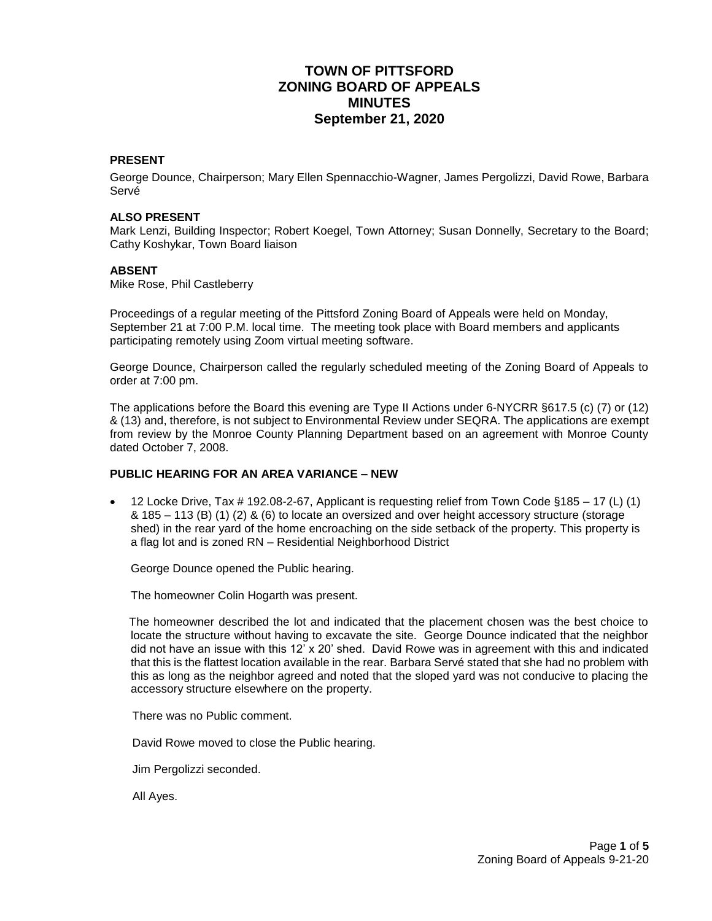# **TOWN OF PITTSFORD ZONING BOARD OF APPEALS MINUTES September 21, 2020**

# **PRESENT**

George Dounce, Chairperson; Mary Ellen Spennacchio-Wagner, James Pergolizzi, David Rowe, Barbara Servé

#### **ALSO PRESENT**

Mark Lenzi, Building Inspector; Robert Koegel, Town Attorney; Susan Donnelly, Secretary to the Board; Cathy Koshykar, Town Board liaison

#### **ABSENT**

Mike Rose, Phil Castleberry

Proceedings of a regular meeting of the Pittsford Zoning Board of Appeals were held on Monday, September 21 at 7:00 P.M. local time. The meeting took place with Board members and applicants participating remotely using Zoom virtual meeting software.

George Dounce, Chairperson called the regularly scheduled meeting of the Zoning Board of Appeals to order at 7:00 pm.

The applications before the Board this evening are Type II Actions under 6-NYCRR §617.5 (c) (7) or (12) & (13) and, therefore, is not subject to Environmental Review under SEQRA. The applications are exempt from review by the Monroe County Planning Department based on an agreement with Monroe County dated October 7, 2008.

### **PUBLIC HEARING FOR AN AREA VARIANCE – NEW**

 $\bullet$  12 Locke Drive, Tax # 192.08-2-67, Applicant is requesting relief from Town Code §185 – 17 (L) (1) & 185 – 113 (B) (1) (2) & (6) to locate an oversized and over height accessory structure (storage shed) in the rear yard of the home encroaching on the side setback of the property. This property is a flag lot and is zoned RN – Residential Neighborhood District

George Dounce opened the Public hearing.

The homeowner Colin Hogarth was present.

 The homeowner described the lot and indicated that the placement chosen was the best choice to locate the structure without having to excavate the site. George Dounce indicated that the neighbor did not have an issue with this 12' x 20' shed. David Rowe was in agreement with this and indicated that this is the flattest location available in the rear. Barbara Servé stated that she had no problem with this as long as the neighbor agreed and noted that the sloped yard was not conducive to placing the accessory structure elsewhere on the property.

There was no Public comment.

David Rowe moved to close the Public hearing.

Jim Pergolizzi seconded.

All Ayes.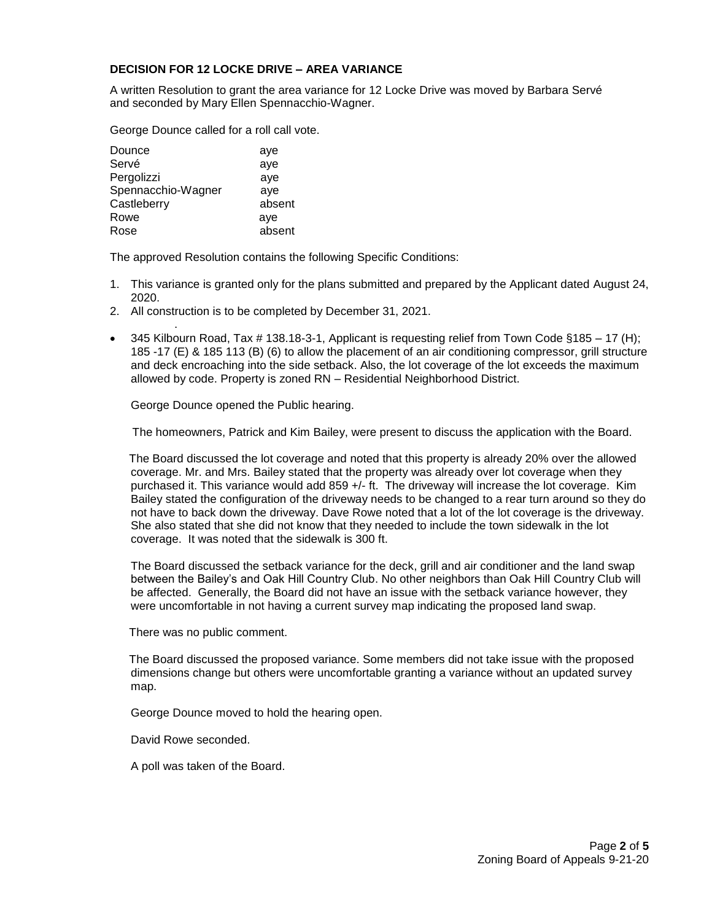#### **DECISION FOR 12 LOCKE DRIVE – AREA VARIANCE**

A written Resolution to grant the area variance for 12 Locke Drive was moved by Barbara Servé and seconded by Mary Ellen Spennacchio-Wagner.

George Dounce called for a roll call vote.

| Dounce             | aye    |
|--------------------|--------|
| Servé              | aye    |
| Pergolizzi         | aye    |
| Spennacchio-Wagner | aye    |
| Castleberry        | absent |
| Rowe               | aye    |
| Rose               | absent |
|                    |        |

.

The approved Resolution contains the following Specific Conditions:

- 1. This variance is granted only for the plans submitted and prepared by the Applicant dated August 24, 2020.
- 2. All construction is to be completed by December 31, 2021.
- 345 Kilbourn Road, Tax # 138.18-3-1, Applicant is requesting relief from Town Code §185 17 (H); 185 -17 (E) & 185 113 (B) (6) to allow the placement of an air conditioning compressor, grill structure and deck encroaching into the side setback. Also, the lot coverage of the lot exceeds the maximum allowed by code. Property is zoned RN – Residential Neighborhood District.

George Dounce opened the Public hearing.

The homeowners, Patrick and Kim Bailey, were present to discuss the application with the Board.

 The Board discussed the lot coverage and noted that this property is already 20% over the allowed coverage. Mr. and Mrs. Bailey stated that the property was already over lot coverage when they purchased it. This variance would add 859 +/- ft. The driveway will increase the lot coverage. Kim Bailey stated the configuration of the driveway needs to be changed to a rear turn around so they do not have to back down the driveway. Dave Rowe noted that a lot of the lot coverage is the driveway. She also stated that she did not know that they needed to include the town sidewalk in the lot coverage. It was noted that the sidewalk is 300 ft.

The Board discussed the setback variance for the deck, grill and air conditioner and the land swap between the Bailey's and Oak Hill Country Club. No other neighbors than Oak Hill Country Club will be affected. Generally, the Board did not have an issue with the setback variance however, they were uncomfortable in not having a current survey map indicating the proposed land swap.

There was no public comment.

 The Board discussed the proposed variance. Some members did not take issue with the proposed dimensions change but others were uncomfortable granting a variance without an updated survey map.

George Dounce moved to hold the hearing open.

David Rowe seconded.

A poll was taken of the Board.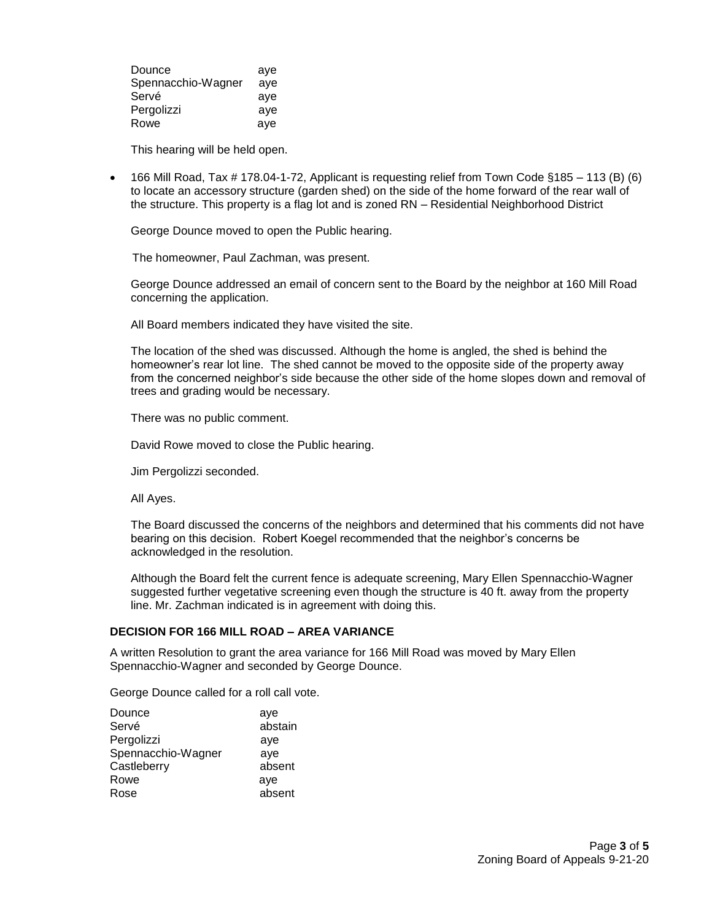| Dounce             | aye |
|--------------------|-----|
| Spennacchio-Wagner | aye |
| Servé              | aye |
| Pergolizzi         | aye |
| Rowe               | aye |

This hearing will be held open.

 $\bullet$  166 Mill Road, Tax # 178.04-1-72, Applicant is requesting relief from Town Code §185 – 113 (B) (6) to locate an accessory structure (garden shed) on the side of the home forward of the rear wall of the structure. This property is a flag lot and is zoned RN – Residential Neighborhood District

George Dounce moved to open the Public hearing.

The homeowner, Paul Zachman, was present.

George Dounce addressed an email of concern sent to the Board by the neighbor at 160 Mill Road concerning the application.

All Board members indicated they have visited the site.

The location of the shed was discussed. Although the home is angled, the shed is behind the homeowner's rear lot line. The shed cannot be moved to the opposite side of the property away from the concerned neighbor's side because the other side of the home slopes down and removal of trees and grading would be necessary.

There was no public comment.

David Rowe moved to close the Public hearing.

Jim Pergolizzi seconded.

All Ayes.

The Board discussed the concerns of the neighbors and determined that his comments did not have bearing on this decision. Robert Koegel recommended that the neighbor's concerns be acknowledged in the resolution.

Although the Board felt the current fence is adequate screening, Mary Ellen Spennacchio-Wagner suggested further vegetative screening even though the structure is 40 ft. away from the property line. Mr. Zachman indicated is in agreement with doing this.

#### **DECISION FOR 166 MILL ROAD – AREA VARIANCE**

A written Resolution to grant the area variance for 166 Mill Road was moved by Mary Ellen Spennacchio-Wagner and seconded by George Dounce.

George Dounce called for a roll call vote.

| Dounce             | aye     |
|--------------------|---------|
| Servé              | abstain |
| Pergolizzi         | aye     |
| Spennacchio-Wagner | aye     |
| Castleberry        | absent  |
| Rowe               | aye     |
| Rose               | absent  |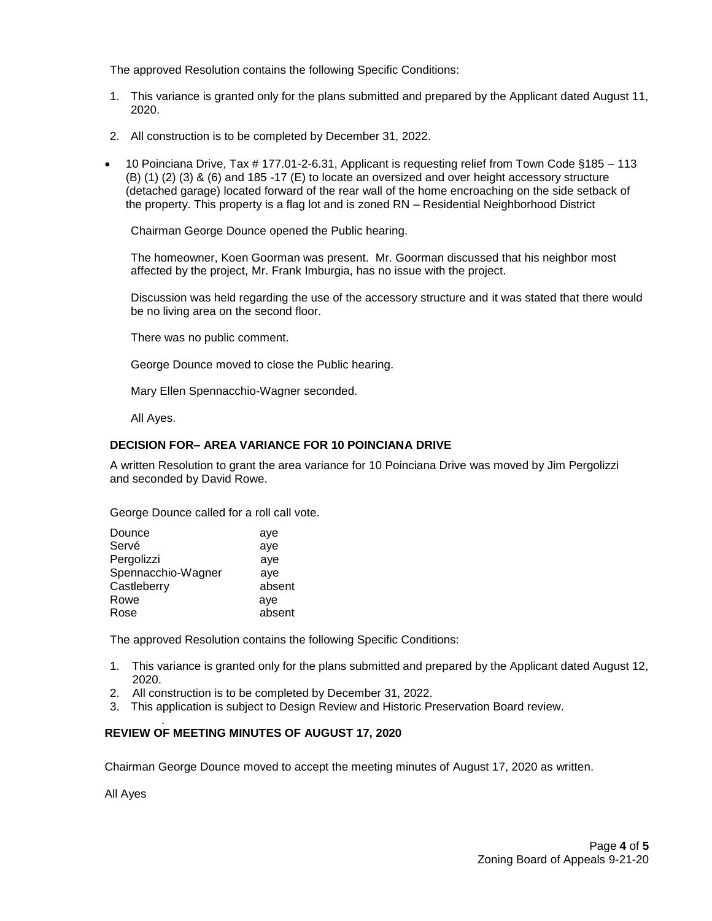The approved Resolution contains the following Specific Conditions:

- 1. This variance is granted only for the plans submitted and prepared by the Applicant dated August 11, 2020.
- 2. All construction is to be completed by December 31, 2022.
- 10 Poinciana Drive, Tax # 177.01-2-6.31, Applicant is requesting relief from Town Code §185 113 (B) (1) (2) (3) & (6) and 185 -17 (E) to locate an oversized and over height accessory structure (detached garage) located forward of the rear wall of the home encroaching on the side setback of the property. This property is a flag lot and is zoned RN – Residential Neighborhood District

Chairman George Dounce opened the Public hearing.

The homeowner, Koen Goorman was present. Mr. Goorman discussed that his neighbor most affected by the project, Mr. Frank Imburgia, has no issue with the project.

Discussion was held regarding the use of the accessory structure and it was stated that there would be no living area on the second floor.

There was no public comment.

George Dounce moved to close the Public hearing.

Mary Ellen Spennacchio-Wagner seconded.

All Ayes.

## **DECISION FOR– AREA VARIANCE FOR 10 POINCIANA DRIVE**

A written Resolution to grant the area variance for 10 Poinciana Drive was moved by Jim Pergolizzi and seconded by David Rowe.

George Dounce called for a roll call vote.

| Dounce             | aye    |
|--------------------|--------|
| Servé              | aye    |
| Pergolizzi         | aye    |
| Spennacchio-Wagner | aye    |
| Castleberry        | absent |
| Rowe               | aye    |
| Rose               | absent |

The approved Resolution contains the following Specific Conditions:

- 1. This variance is granted only for the plans submitted and prepared by the Applicant dated August 12, 2020.
- 2. All construction is to be completed by December 31, 2022.
- 3. This application is subject to Design Review and Historic Preservation Board review.

#### . **REVIEW OF MEETING MINUTES OF AUGUST 17, 2020**

Chairman George Dounce moved to accept the meeting minutes of August 17, 2020 as written.

All Ayes